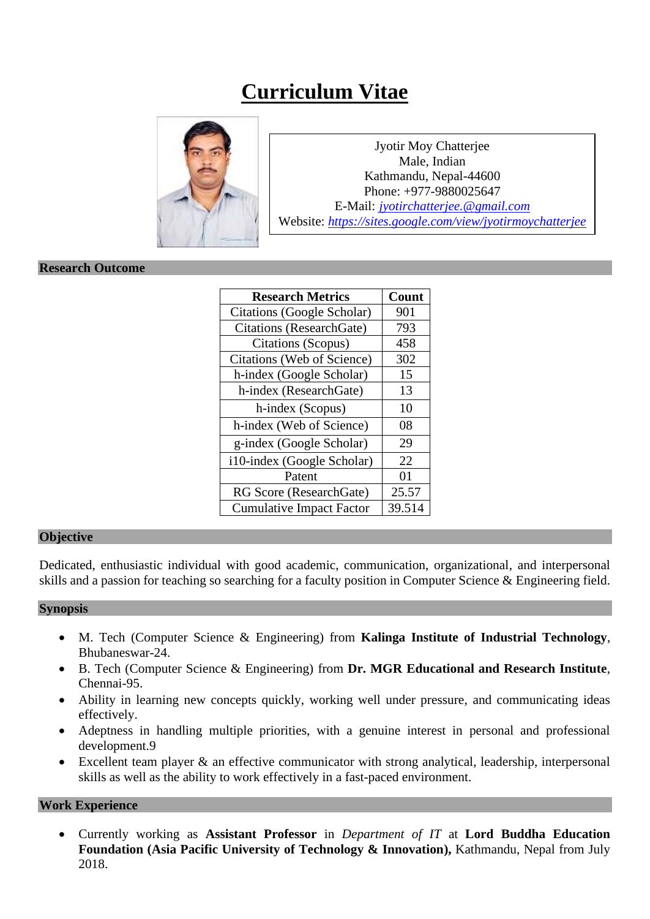# **Curriculum Vitae**



Jyotir Moy Chatterjee Male, Indian Kathmandu, Nepal-44600 Phone: +977-9880025647 E-Mail: *[jyotirchatterjee.@gmail.com](mailto:jyotirchatterjee@gmail.com)* Website: *<https://sites.google.com/view/jyotirmoychatterjee>*

#### **Research Outcome**

| <b>Research Metrics</b>         | Count  |
|---------------------------------|--------|
| Citations (Google Scholar)      | 901    |
| <b>Citations</b> (ResearchGate) | 793    |
| Citations (Scopus)              | 458    |
| Citations (Web of Science)      | 302    |
| h-index (Google Scholar)        | 15     |
| h-index (ResearchGate)          | 13     |
| h-index (Scopus)                | 10     |
| h-index (Web of Science)        | 08     |
| g-index (Google Scholar)        | 29     |
| i10-index (Google Scholar)      | 22     |
| Patent                          | 01     |
| RG Score (ResearchGate)         | 25.57  |
| <b>Cumulative Impact Factor</b> | 39.514 |

#### **Objective**

Dedicated, enthusiastic individual with good academic, communication, organizational, and interpersonal skills and a passion for teaching so searching for a faculty position in Computer Science & Engineering field.

#### **Synopsis**

- M. Tech (Computer Science & Engineering) from **Kalinga Institute of Industrial Technology**, Bhubaneswar-24.
- B. Tech (Computer Science & Engineering) from **Dr. MGR Educational and Research Institute**, Chennai-95.
- Ability in learning new concepts quickly, working well under pressure, and communicating ideas effectively.
- Adeptness in handling multiple priorities, with a genuine interest in personal and professional development.9
- Excellent team player & an effective communicator with strong analytical, leadership, interpersonal skills as well as the ability to work effectively in a fast-paced environment.

#### **Work Experience**

• Currently working as **Assistant Professor** in *Department of IT* at **Lord Buddha Education**  Foundation (Asia Pacific University of Technology & Innovation), Kathmandu, Nepal from July 2018.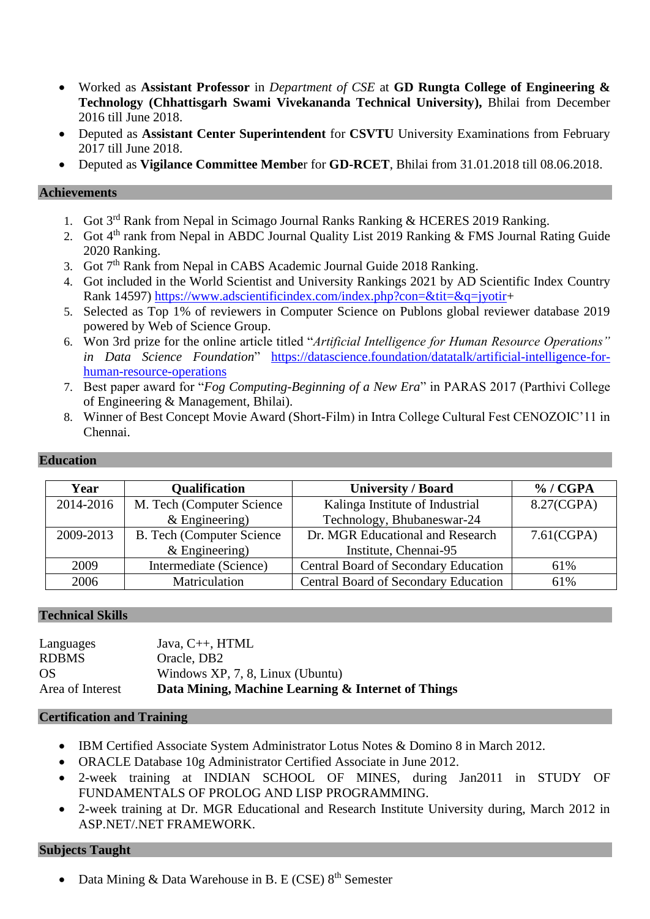- Worked as **Assistant Professor** in *Department of CSE* at **GD Rungta College of Engineering & Technology (Chhattisgarh Swami Vivekananda Technical University),** Bhilai from December 2016 till June 2018.
- Deputed as **Assistant Center Superintendent** for **CSVTU** University Examinations from February 2017 till June 2018.
- Deputed as **Vigilance Committee Membe**r for **GD-RCET**, Bhilai from 31.01.2018 till 08.06.2018.

#### **Achievements**

- 1. Got 3<sup>rd</sup> Rank from Nepal in Scimago Journal Ranks Ranking & HCERES 2019 Ranking.
- 2. Got 4<sup>th</sup> rank from Nepal in ABDC Journal Quality List 2019 Ranking & FMS Journal Rating Guide 2020 Ranking.
- 3. Got 7<sup>th</sup> Rank from Nepal in CABS Academic Journal Guide 2018 Ranking.
- 4. Got included in the World Scientist and University Rankings 2021 by AD Scientific Index Country Rank 14597) [https://www.adscientificindex.com/index.php?con=&tit=&q=jyotir+](https://www.adscientificindex.com/index.php?con=&tit=&q=jyotir)
- 5. Selected as Top 1% of reviewers in Computer Science on Publons global reviewer database 2019 powered by Web of Science Group.
- 6. Won 3rd prize for the online article titled "*Artificial Intelligence for Human Resource Operations" in Data Science Foundation*" [https://datascience.foundation/datatalk/artificial-intelligence-for](https://datascience.foundation/datatalk/artificial-intelligence-for-human-resource-operations)[human-resource-operations](https://datascience.foundation/datatalk/artificial-intelligence-for-human-resource-operations)
- 7. Best paper award for "*Fog Computing-Beginning of a New Era*" in PARAS 2017 (Parthivi College of Engineering & Management, Bhilai).
- 8. Winner of Best Concept Movie Award (Short-Film) in Intra College Cultural Fest CENOZOIC'11 in Chennai.

#### **Education**

| Year      | <b>Qualification</b>              | <b>University / Board</b>                   | % / CGPA   |
|-----------|-----------------------------------|---------------------------------------------|------------|
| 2014-2016 | M. Tech (Computer Science)        | Kalinga Institute of Industrial             | 8.27(CGPA) |
|           | $&$ Engineering)                  | Technology, Bhubaneswar-24                  |            |
| 2009-2013 | <b>B.</b> Tech (Computer Science) | Dr. MGR Educational and Research            | 7.61(CGPA) |
|           | $&$ Engineering)                  | Institute, Chennai-95                       |            |
| 2009      | Intermediate (Science)            | <b>Central Board of Secondary Education</b> | 61%        |
| 2006      | Matriculation                     | <b>Central Board of Secondary Education</b> | 61%        |

## **Technical Skills**

| Languages        | Java, $C_{++}$ , HTML                              |
|------------------|----------------------------------------------------|
| <b>RDBMS</b>     | Oracle, DB2                                        |
| OS               | Windows XP, 7, 8, Linux (Ubuntu)                   |
| Area of Interest | Data Mining, Machine Learning & Internet of Things |

#### **Certification and Training**

- IBM Certified Associate System Administrator Lotus Notes & Domino 8 in March 2012.
- ORACLE Database 10g Administrator Certified Associate in June 2012.
- 2-week training at INDIAN SCHOOL OF MINES, during Jan2011 in STUDY OF FUNDAMENTALS OF PROLOG AND LISP PROGRAMMING.
- 2-week training at Dr. MGR Educational and Research Institute University during, March 2012 in ASP.NET/.NET FRAMEWORK.

## **Subjects Taught**

Data Mining & Data Warehouse in B. E (CSE) 8<sup>th</sup> Semester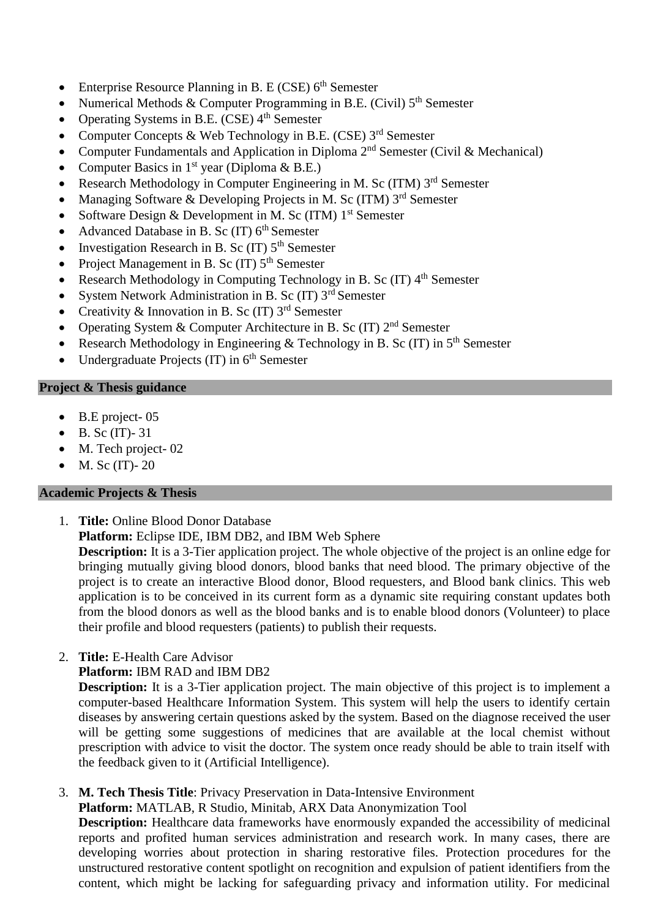- Enterprise Resource Planning in B. E (CSE)  $6<sup>th</sup>$  Semester
- Numerical Methods & Computer Programming in B.E. (Civil)  $5<sup>th</sup>$  Semester
- Operating Systems in B.E. (CSE)  $4<sup>th</sup>$  Semester
- Computer Concepts & Web Technology in B.E. (CSE)  $3^{rd}$  Semester
- Computer Fundamentals and Application in Diploma  $2<sup>nd</sup>$  Semester (Civil & Mechanical)
- Computer Basics in  $1<sup>st</sup>$  year (Diploma & B.E.)
- Research Methodology in Computer Engineering in M. Sc (ITM) 3<sup>rd</sup> Semester
- Managing Software & Developing Projects in M. Sc (ITM) 3rd Semester
- Software Design & Development in M. Sc (ITM)  $1<sup>st</sup>$  Semester
- Advanced Database in B. Sc  $(IT)$  6<sup>th</sup> Semester
- Investigation Research in B. Sc  $(TT)$  5<sup>th</sup> Semester
- Project Management in B. Sc  $(IT)$  5<sup>th</sup> Semester
- Research Methodology in Computing Technology in B. Sc  $(IT)$  4<sup>th</sup> Semester
- System Network Administration in B. Sc  $(IT) 3<sup>rd</sup>$  Semester
- Creativity & Innovation in B. Sc  $(IT)$  3<sup>rd</sup> Semester
- Operating System & Computer Architecture in B. Sc (IT)  $2<sup>nd</sup>$  Semester
- Research Methodology in Engineering & Technology in B. Sc (IT) in  $5<sup>th</sup>$  Semester
- Undergraduate Projects  $(IT)$  in  $6<sup>th</sup>$  Semester

# **Project & Thesis guidance**

- B.E project-05
- $\bullet$  B. Sc (IT)-31
- M. Tech project-02
- M. Sc  $(IT)$  20

# **Academic Projects & Thesis**

- 1. **Title:** Online Blood Donor Database
	- **Platform:** Eclipse IDE, IBM DB2, and IBM Web Sphere

**Description:** It is a 3-Tier application project. The whole objective of the project is an online edge for bringing mutually giving blood donors, blood banks that need blood. The primary objective of the project is to create an interactive Blood donor, Blood requesters, and Blood bank clinics. This web application is to be conceived in its current form as a dynamic site requiring constant updates both from the blood donors as well as the blood banks and is to enable blood donors (Volunteer) to place their profile and blood requesters (patients) to publish their requests.

- 2. **Title:** E-Health Care Advisor
	- **Platform:** IBM RAD and IBM DB2

**Description:** It is a 3-Tier application project. The main objective of this project is to implement a computer-based Healthcare Information System. This system will help the users to identify certain diseases by answering certain questions asked by the system. Based on the diagnose received the user will be getting some suggestions of medicines that are available at the local chemist without prescription with advice to visit the doctor. The system once ready should be able to train itself with the feedback given to it (Artificial Intelligence).

3. **M. Tech Thesis Title**: Privacy Preservation in Data-Intensive Environment **Platform:** MATLAB, R Studio, Minitab, ARX Data Anonymization Tool **Description:** Healthcare data frameworks have enormously expanded the accessibility of medicinal reports and profited human services administration and research work. In many cases, there are developing worries about protection in sharing restorative files. Protection procedures for the unstructured restorative content spotlight on recognition and expulsion of patient identifiers from the content, which might be lacking for safeguarding privacy and information utility. For medicinal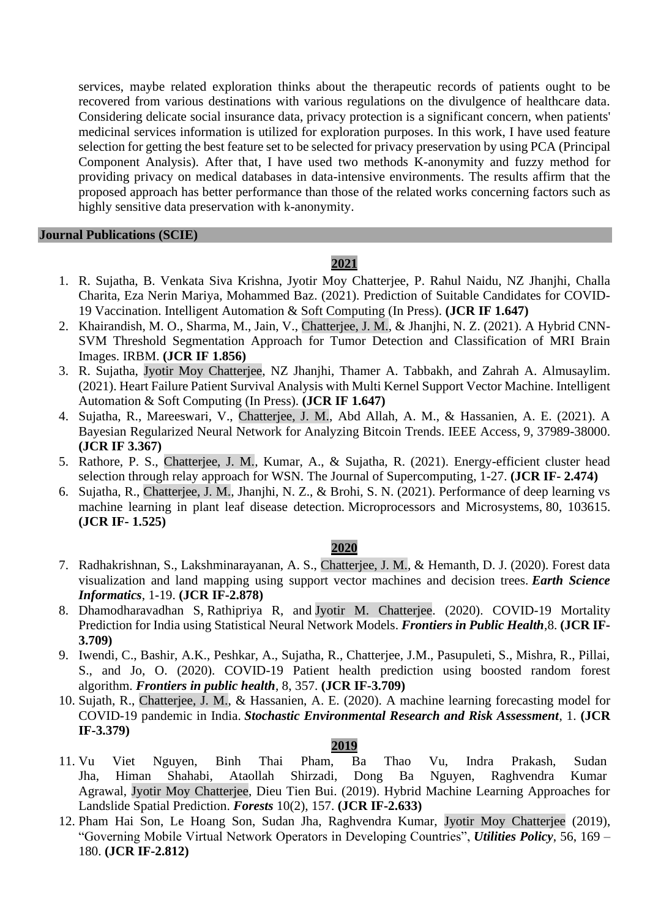services, maybe related exploration thinks about the therapeutic records of patients ought to be recovered from various destinations with various regulations on the divulgence of healthcare data. Considering delicate social insurance data, privacy protection is a significant concern, when patients' medicinal services information is utilized for exploration purposes. In this work, I have used feature selection for getting the best feature set to be selected for privacy preservation by using PCA (Principal Component Analysis). After that, I have used two methods K-anonymity and fuzzy method for providing privacy on medical databases in data-intensive environments. The results affirm that the proposed approach has better performance than those of the related works concerning factors such as highly sensitive data preservation with k-anonymity.

#### **Journal Publications (SCIE)**

## **2021**

- 1. R. Sujatha, B. Venkata Siva Krishna, Jyotir Moy Chatterjee, P. Rahul Naidu, NZ Jhanjhi, Challa Charita, Eza Nerin Mariya, Mohammed Baz. (2021). Prediction of Suitable Candidates for COVID-19 Vaccination. Intelligent Automation & Soft Computing (In Press). **(JCR IF 1.647)**
- 2. Khairandish, M. O., Sharma, M., Jain, V., Chatterjee, J. M., & Jhanjhi, N. Z. (2021). A Hybrid CNN-SVM Threshold Segmentation Approach for Tumor Detection and Classification of MRI Brain Images. IRBM. **(JCR IF 1.856)**
- 3. R. Sujatha, Jyotir Moy Chatterjee, NZ Jhanjhi, Thamer A. Tabbakh, and Zahrah A. Almusaylim. (2021). Heart Failure Patient Survival Analysis with Multi Kernel Support Vector Machine. Intelligent Automation & Soft Computing (In Press). **(JCR IF 1.647)**
- 4. Sujatha, R., Mareeswari, V., Chatterjee, J. M., Abd Allah, A. M., & Hassanien, A. E. (2021). A Bayesian Regularized Neural Network for Analyzing Bitcoin Trends. IEEE Access, 9, 37989-38000. **(JCR IF 3.367)**
- 5. Rathore, P. S., Chatterjee, J. M., Kumar, A., & Sujatha, R. (2021). Energy-efficient cluster head selection through relay approach for WSN. The Journal of Supercomputing, 1-27. **(JCR IF- 2.474)**
- 6. Sujatha, R., Chatterjee, J. M., Jhanjhi, N. Z., & Brohi, S. N. (2021). Performance of deep learning vs machine learning in plant leaf disease detection. Microprocessors and Microsystems, 80, 103615. **(JCR IF- 1.525)**

#### **2020**

- 7. Radhakrishnan, S., Lakshminarayanan, A. S., Chatterjee, J. M., & Hemanth, D. J. (2020). Forest data visualization and land mapping using support vector machines and decision trees. *Earth Science Informatics*, 1-19. **(JCR IF-2.878)**
- 8. Dhamodharavadhan S, Rathipriya R, and Jyotir M. Chatterjee. (2020). COVID-19 Mortality Prediction for India using Statistical Neural Network Models. *Frontiers in Public Health*,8. **(JCR IF-3.709)**
- 9. Iwendi, C., Bashir, A.K., Peshkar, A., Sujatha, R., Chatterjee, J.M., Pasupuleti, S., Mishra, R., Pillai, S., and Jo, O. (2020). COVID-19 Patient health prediction using boosted random forest algorithm. *Frontiers in public health*, 8, 357. **(JCR IF-3.709)**
- 10. Sujath, R., Chatterjee, J. M., & Hassanien, A. E. (2020). A machine learning forecasting model for COVID-19 pandemic in India. *Stochastic Environmental Research and Risk Assessment*, 1. **(JCR IF-3.379)**

- 11. Vu Viet Nguyen, Binh Thai Pham, Ba Thao Vu, Indra Prakash, Sudan Jha, Himan Shahabi, Ataollah Shirzadi, Dong Ba Nguyen, Raghvendra Kumar Agrawal, Jyotir Moy Chatterjee, Dieu Tien Bui. (2019). Hybrid Machine Learning Approaches for Landslide Spatial Prediction. *Forests* 10(2), 157. **(JCR IF-2.633)**
- 12. Pham Hai Son, Le Hoang Son, Sudan Jha, Raghvendra Kumar, Jyotir Moy Chatterjee (2019), "Governing Mobile Virtual Network Operators in Developing Countries", *Utilities Policy*, 56, 169 – 180. **(JCR IF-2.812)**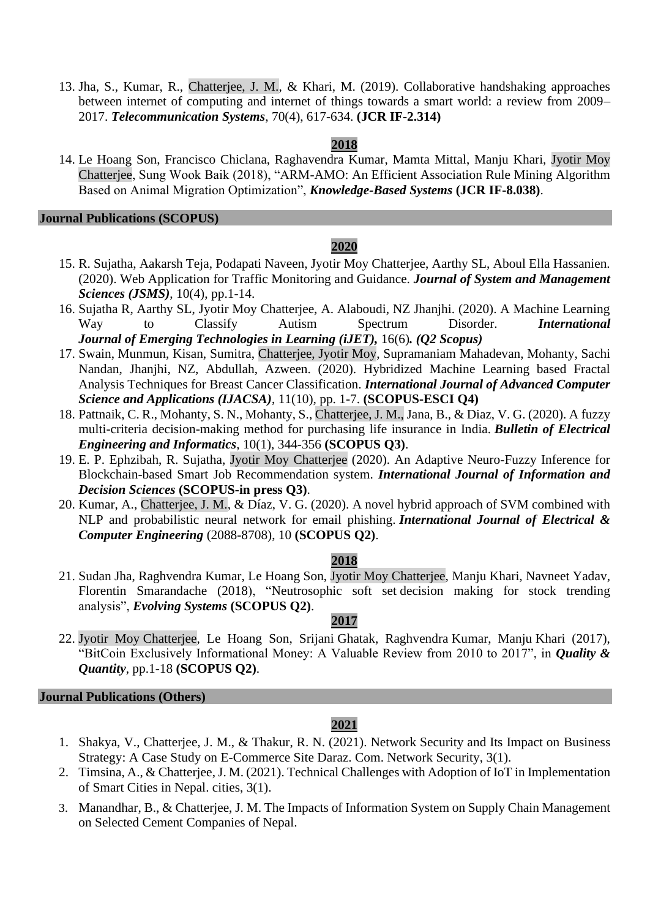13. Jha, S., Kumar, R., Chatterjee, J. M., & Khari, M. (2019). Collaborative handshaking approaches between internet of computing and internet of things towards a smart world: a review from 2009– 2017. *Telecommunication Systems*, 70(4), 617-634. **(JCR IF-2.314)**

## **2018**

14. Le Hoang Son, Francisco Chiclana, Raghavendra Kumar, Mamta Mittal, Manju Khari, Jyotir Moy Chatterjee, Sung Wook Baik (2018), "ARM-AMO: An Efficient Association Rule Mining Algorithm Based on Animal Migration Optimization", *Knowledge-Based Systems* **(JCR IF-8.038)**.

#### **Journal Publications (SCOPUS)**

## **2020**

- 15. R. Sujatha, Aakarsh Teja, Podapati Naveen, Jyotir Moy Chatterjee, Aarthy SL, Aboul Ella Hassanien. (2020). Web Application for Traffic Monitoring and Guidance. *Journal of System and Management Sciences (JSMS)*, 10(4), pp.1-14.
- 16. Sujatha R, Aarthy SL, Jyotir Moy Chatterjee, A. Alaboudi, NZ Jhanjhi. (2020). A Machine Learning Way to Classify Autism Spectrum Disorder. *International Journal of Emerging Technologies in Learning (iJET),* 16(6)*. (Q2 Scopus)*
- 17. Swain, Munmun, Kisan, Sumitra, Chatterjee, Jyotir Moy, Supramaniam Mahadevan, Mohanty, Sachi Nandan, Jhanjhi, NZ, Abdullah, Azween. (2020). Hybridized Machine Learning based Fractal Analysis Techniques for Breast Cancer Classification. *International Journal of Advanced Computer Science and Applications (IJACSA)*, 11(10), pp. 1-7. **(SCOPUS-ESCI Q4)**
- 18. Pattnaik, C. R., Mohanty, S. N., Mohanty, S., Chatterjee, J. M., Jana, B., & Diaz, V. G. (2020). A fuzzy multi-criteria decision-making method for purchasing life insurance in India. *Bulletin of Electrical Engineering and Informatics*, 10(1), 344-356 **(SCOPUS Q3)**.
- 19. E. P. Ephzibah, R. Sujatha, Jyotir Moy Chatterjee (2020). An Adaptive Neuro-Fuzzy Inference for Blockchain-based Smart Job Recommendation system. *International Journal of Information and Decision Sciences* **(SCOPUS-in press Q3)**.
- 20. Kumar, A., Chatterjee, J. M., & Díaz, V. G. (2020). A novel hybrid approach of SVM combined with NLP and probabilistic neural network for email phishing. *International Journal of Electrical & Computer Engineering* (2088-8708), 10 **(SCOPUS Q2)**.

## **2018**

21. Sudan Jha, Raghvendra Kumar, Le Hoang Son, Jyotir Moy Chatterjee, Manju Khari, Navneet Yadav, Florentin Smarandache (2018), "Neutrosophic soft set decision making for stock trending analysis", *[Evolving Systems](https://www.springer.com/engineering/computational+intelligence+and+complexity/journal/12530)* **(SCOPUS Q2)**.

## **2017**

22. Jyotir Moy Chatterjee, Le Hoang Son, Srijani Ghatak, Raghvendra Kumar, Manju Khari (2017), "BitCoin Exclusively Informational Money: A Valuable Review from 2010 to 2017", in *Quality & Quantity*, pp.1-18 **(SCOPUS Q2)**.

# **Journal Publications (Others)**

- 1. Shakya, V., Chatterjee, J. M., & Thakur, R. N. (2021). Network Security and Its Impact on Business Strategy: A Case Study on E-Commerce Site Daraz. Com. Network Security, 3(1).
- 2. Timsina, A., & Chatterjee, J. M. (2021). Technical Challenges with Adoption of IoT in Implementation of Smart Cities in Nepal. cities, 3(1).
- 3. Manandhar, B., & Chatterjee, J. M. The Impacts of Information System on Supply Chain Management on Selected Cement Companies of Nepal.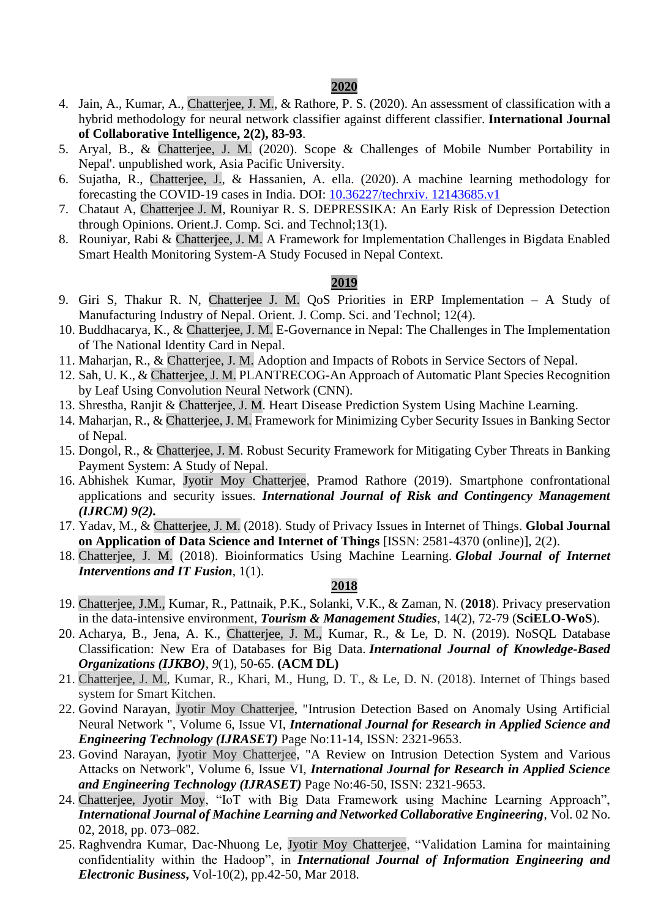#### **2020**

- 4. Jain, A., Kumar, A., Chatterjee, J. M., & Rathore, P. S. (2020). An assessment of classification with a hybrid methodology for neural network classifier against different classifier. **International Journal of Collaborative Intelligence, 2(2), 83-93**.
- 5. Aryal, B., & Chatterjee, J. M. (2020). Scope & Challenges of Mobile Number Portability in Nepal'. unpublished work, Asia Pacific University.
- 6. Sujatha, R., Chatterjee, J., & Hassanien, A. ella. (2020). A machine learning methodology for forecasting the COVID-19 cases in India. DOI: 10.36227/techrxiv. 12143685.v1
- 7. Chataut A, Chatterjee J. M, Rouniyar R. S. DEPRESSIKA: An Early Risk of Depression Detection through Opinions. Orient.J. Comp. Sci. and Technol;13(1).
- 8. Rouniyar, Rabi & Chatterjee, J. M. A Framework for Implementation Challenges in Bigdata Enabled Smart Health Monitoring System-A Study Focused in Nepal Context.

## **2019**

- 9. Giri S, Thakur R. N, Chatterjee J. M. QoS Priorities in ERP Implementation A Study of Manufacturing Industry of Nepal. Orient. J. Comp. Sci. and Technol; 12(4).
- 10. Buddhacarya, K., & Chatterjee, J. M. E-Governance in Nepal: The Challenges in The Implementation of The National Identity Card in Nepal.
- 11. Maharjan, R., & Chatterjee, J. M. Adoption and Impacts of Robots in Service Sectors of Nepal.
- 12. Sah, U. K., & Chatterjee, J. M. PLANTRECOG-An Approach of Automatic Plant Species Recognition by Leaf Using Convolution Neural Network (CNN).
- 13. Shrestha, Ranjit & Chatterjee, J. M. Heart Disease Prediction System Using Machine Learning.
- 14. Maharjan, R., & Chatterjee, J. M. Framework for Minimizing Cyber Security Issues in Banking Sector of Nepal.
- 15. Dongol, R., & Chatterjee, J. M. Robust Security Framework for Mitigating Cyber Threats in Banking Payment System: A Study of Nepal.
- 16. Abhishek Kumar, Jyotir Moy Chatterjee, Pramod Rathore (2019). Smartphone confrontational applications and security issues. *International Journal of Risk and Contingency Management (IJRCM) 9(2).*
- 17. Yadav, M., & Chatterjee, J. M. (2018). Study of Privacy Issues in Internet of Things. **Global Journal on Application of Data Science and Internet of Things** [ISSN: 2581-4370 (online)], 2(2).
- 18. Chatterjee, J. M. (2018). Bioinformatics Using Machine Learning. *Global Journal of Internet Interventions and IT Fusion*, 1(1).

- 19. Chatterjee, J.M., Kumar, R., Pattnaik, P.K., Solanki, V.K., & Zaman, N. (**2018**). Privacy preservation in the data-intensive environment, *Tourism & Management Studies*, 14(2), 72-79 (**SciELO-WoS**).
- 20. Acharya, B., Jena, A. K., Chatterjee, J. M., Kumar, R., & Le, D. N. (2019). NoSQL Database Classification: New Era of Databases for Big Data. *International Journal of Knowledge-Based Organizations (IJKBO)*, *9*(1), 50-65. **(ACM DL)**
- 21. Chatterjee, J. M., Kumar, R., Khari, M., Hung, D. T., & Le, D. N. (2018). Internet of Things based system for Smart Kitchen.
- 22. Govind Narayan, Jyotir Moy Chatterjee, "Intrusion Detection Based on Anomaly Using Artificial Neural Network ", Volume 6, Issue VI, *International Journal for Research in Applied Science and Engineering Technology (IJRASET)* Page No:11-14, ISSN: 2321-9653.
- 23. Govind Narayan, Jyotir Moy Chatterjee, "A Review on Intrusion Detection System and Various Attacks on Network", Volume 6, Issue VI, *International Journal for Research in Applied Science and Engineering Technology (IJRASET)* Page No:46-50, ISSN: 2321-9653.
- 24. Chatterjee, Jyotir Moy, "IoT with Big Data Framework using Machine Learning Approach", *International Journal of Machine Learning and Networked Collaborative Engineering*, Vol. 02 No. 02, 2018, pp. 073–082.
- 25. Raghvendra Kumar, Dac-Nhuong Le, Jyotir Moy Chatterjee, "Validation Lamina for maintaining confidentiality within the Hadoop", in *International Journal of Information Engineering and Electronic Business***,** Vol-10(2), pp.42-50, Mar 2018.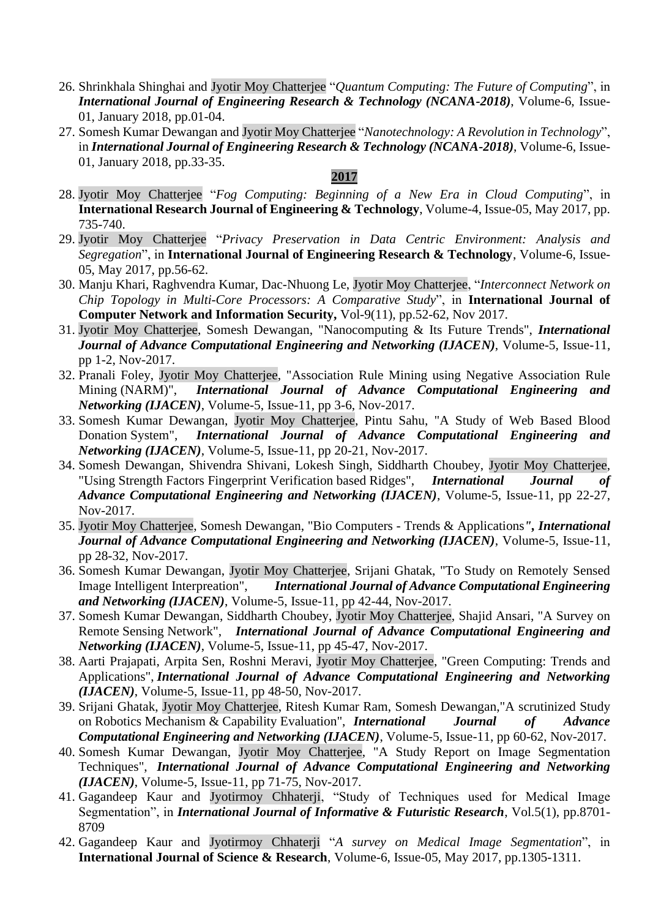- 26. Shrinkhala Shinghai and Jyotir Moy Chatterjee "*Quantum Computing: The Future of Computing*", in *International Journal of Engineering Research & Technology (NCANA-2018)*, Volume-6, Issue-01, January 2018, pp.01-04.
- 27. Somesh Kumar Dewangan and Jyotir Moy Chatterjee "*Nanotechnology: A Revolution in Technology*", in *International Journal of Engineering Research & Technology (NCANA-2018)*, Volume-6, Issue-01, January 2018, pp.33-35.

- 28. Jyotir Moy Chatterjee "*Fog Computing: Beginning of a New Era in Cloud Computing*", in **International Research Journal of Engineering & Technology**, Volume-4, Issue-05, May 2017, pp. 735-740.
- 29. Jyotir Moy Chatterjee "*Privacy Preservation in Data Centric Environment: Analysis and Segregation*", in **International Journal of Engineering Research & Technology**, Volume-6, Issue-05, May 2017, pp.56-62.
- 30. Manju Khari, Raghvendra Kumar, Dac-Nhuong Le, Jyotir Moy Chatterjee, "*Interconnect Network on Chip Topology in Multi-Core Processors: A Comparative Study*", in **International Journal of Computer Network and Information Security,** Vol-9(11), pp.52-62, Nov 2017.
- 31. Jyotir Moy Chatterjee, Somesh Dewangan, "Nanocomputing & Its Future Trends", *International Journal of Advance Computational Engineering and Networking (IJACEN)*, Volume-5, Issue-11, pp 1-2, Nov-2017.
- 32. Pranali Foley, Jyotir Moy Chatterjee, "Association Rule Mining using Negative Association Rule Mining (NARM)", *International Journal of Advance Computational Engineering and Networking (IJACEN)*, Volume-5, Issue-11, pp 3-6, Nov-2017.
- 33. Somesh Kumar Dewangan, Jyotir Moy Chatterjee, Pintu Sahu, "A Study of Web Based Blood Donation System", *International Journal of Advance Computational Engineering and Networking (IJACEN)*, Volume-5, Issue-11, pp 20-21, Nov-2017.
- 34. Somesh Dewangan, Shivendra Shivani, Lokesh Singh, Siddharth Choubey, Jyotir Moy Chatterjee, "Using Strength Factors Fingerprint Verification based Ridges", *International Journal of Advance Computational Engineering and Networking (IJACEN)*, Volume-5, Issue-11, pp 22-27, Nov-2017.
- 35. Jyotir Moy Chatterjee, Somesh Dewangan, "Bio Computers Trends & Applications*", International Journal of Advance Computational Engineering and Networking (IJACEN)*, Volume-5, Issue-11, pp 28-32, Nov-2017.
- 36. Somesh Kumar Dewangan, Jyotir Moy Chatterjee, Srijani Ghatak, "To Study on Remotely Sensed Image Intelligent Interpreation", *International Journal of Advance Computational Engineering and Networking (IJACEN)*, Volume-5, Issue-11, pp 42-44, Nov-2017.
- 37. Somesh Kumar Dewangan, Siddharth Choubey, Jyotir Moy Chatterjee, Shajid Ansari, "A Survey on Remote Sensing Network", *International Journal of Advance Computational Engineering and Networking (IJACEN)*, Volume-5, Issue-11, pp 45-47, Nov-2017.
- 38. Aarti Prajapati, Arpita Sen, Roshni Meravi, Jyotir Moy Chatterjee, "Green Computing: Trends and Applications", *International Journal of Advance Computational Engineering and Networking (IJACEN)*, Volume-5, Issue-11, pp 48-50, Nov-2017.
- 39. Srijani Ghatak, Jyotir Moy Chatterjee, Ritesh Kumar Ram, Somesh Dewangan,"A scrutinized Study on Robotics Mechanism & Capability Evaluation", *International Journal of Advance Computational Engineering and Networking (IJACEN)*, Volume-5, Issue-11, pp 60-62, Nov-2017.
- 40. Somesh Kumar Dewangan, Jyotir Moy Chatterjee, "A Study Report on Image Segmentation Techniques", *International Journal of Advance Computational Engineering and Networking (IJACEN)*, Volume-5, Issue-11, pp 71-75, Nov-2017.
- 41. Gagandeep Kaur and Jyotirmoy Chhaterji, "Study of Techniques used for Medical Image Segmentation", in *International Journal of Informative & Futuristic Research*, Vol.5(1), pp.8701- 8709
- 42. Gagandeep Kaur and Jyotirmoy Chhaterji "*A survey on Medical Image Segmentation*", in **International Journal of Science & Research**, Volume-6, Issue-05, May 2017, pp.1305-1311.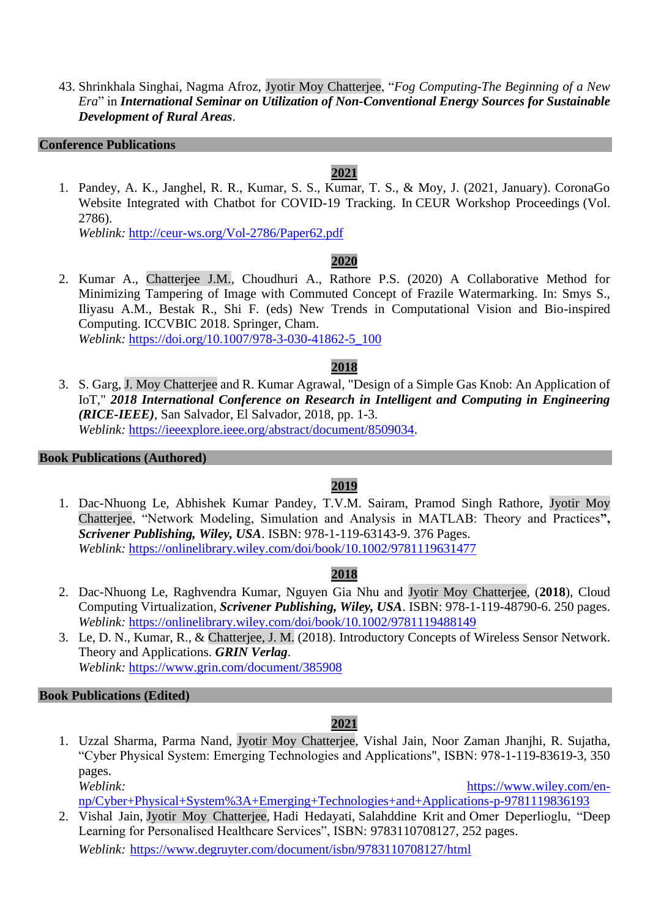43. Shrinkhala Singhai, Nagma Afroz, Jyotir Moy Chatterjee, "*Fog Computing-The Beginning of a New Era*" in *International Seminar on Utilization of Non-Conventional Energy Sources for Sustainable Development of Rural Areas*.

#### **Conference Publications**

# **2021**

1. Pandey, A. K., Janghel, R. R., Kumar, S. S., Kumar, T. S., & Moy, J. (2021, January). CoronaGo Website Integrated with Chatbot for COVID-19 Tracking. In CEUR Workshop Proceedings (Vol. 2786).

*Weblink:* http://ceur-ws.org/Vol-2786/Paper62.pdf

# **2020**

2. Kumar A., Chatterjee J.M., Choudhuri A., Rathore P.S. (2020) A Collaborative Method for Minimizing Tampering of Image with Commuted Concept of Frazile Watermarking. In: Smys S., Iliyasu A.M., Bestak R., Shi F. (eds) New Trends in Computational Vision and Bio-inspired Computing. ICCVBIC 2018. Springer, Cham. *Weblink:* [https://doi.org/10.1007/978-3-030-41862-5\\_100](https://doi.org/10.1007/978-3-030-41862-5_100)

## **2018**

3. S. Garg, J. Moy Chatterjee and R. Kumar Agrawal, "Design of a Simple Gas Knob: An Application of IoT," *2018 International Conference on Research in Intelligent and Computing in Engineering (RICE-IEEE)*, San Salvador, El Salvador, 2018, pp. 1-3. *Weblink:* [https://ieeexplore.ieee.org/abstract/document/8509034.](https://ieeexplore.ieee.org/abstract/document/8509034)

#### **Book Publications (Authored)**

# **2019**

1. Dac-Nhuong Le, Abhishek Kumar Pandey, T.V.M. Sairam, Pramod Singh Rathore, Jyotir Moy Chatterjee, "Network Modeling, Simulation and Analysis in MATLAB: Theory and Practices**",**  *Scrivener Publishing, Wiley, USA*. ISBN: 978-1-119-63143-9. 376 Pages. *Weblink:* <https://onlinelibrary.wiley.com/doi/book/10.1002/9781119631477>

# **2018**

- 2. Dac-Nhuong Le, Raghvendra Kumar, Nguyen Gia Nhu and Jyotir Moy Chatterjee, (**2018**), Cloud Computing Virtualization, *Scrivener Publishing, Wiley, USA*. ISBN: 978-1-119-48790-6. 250 pages. *Weblink:* <https://onlinelibrary.wiley.com/doi/book/10.1002/9781119488149>
- 3. Le, D. N., Kumar, R., & Chatterjee, J. M. (2018). Introductory Concepts of Wireless Sensor Network. Theory and Applications. *GRIN Verlag*. *Weblink:* <https://www.grin.com/document/385908>

## **Book Publications (Edited)**

# **2021**

1. Uzzal Sharma, Parma Nand, Jyotir Moy Chatterjee, Vishal Jain, Noor Zaman Jhanjhi, R. Sujatha, "Cyber Physical System: Emerging Technologies and Applications", ISBN: 978-1-119-83619-3, 350 pages. *Weblink:* [https://www.wiley.com/en-](https://www.wiley.com/en-np/Cyber+Physical+System%3A+Emerging+Technologies+and+Applications-p-9781119836193)

[np/Cyber+Physical+System%3A+Emerging+Technologies+and+Applications-p-9781119836193](https://www.wiley.com/en-np/Cyber+Physical+System%3A+Emerging+Technologies+and+Applications-p-9781119836193)

2. Vishal Jain, Jyotir Moy Chatterjee, Hadi Hedayati, Salahddine Krit and Omer Deperlioglu, "Deep Learning for Personalised Healthcare Services", ISBN: 9783110708127, 252 pages.

*Weblink:* <https://www.degruyter.com/document/isbn/9783110708127/html>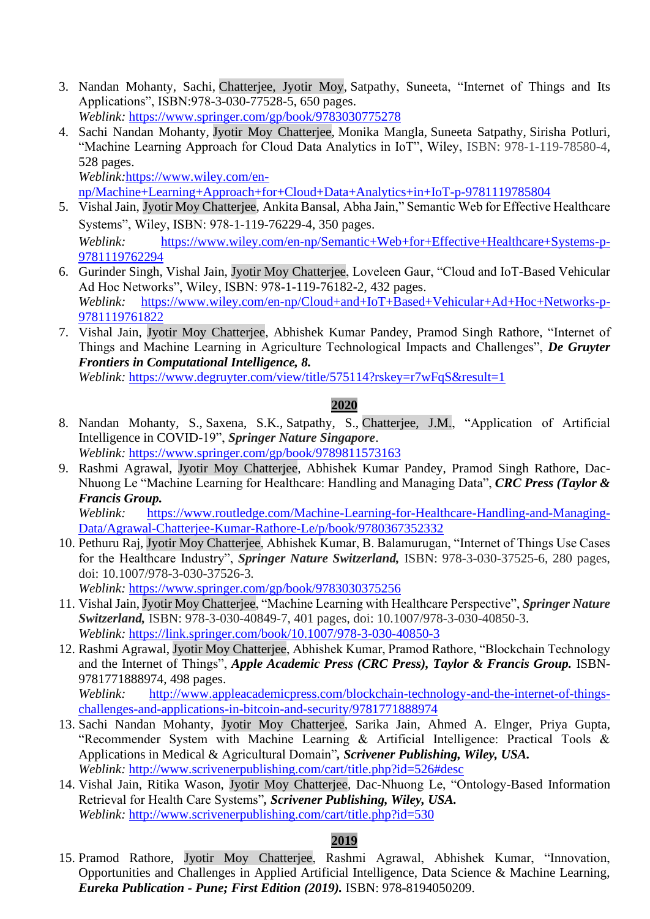- 3. Nandan Mohanty, Sachi, Chatterjee, Jyotir Moy, Satpathy, Suneeta, "Internet of Things and Its Applications", ISBN:978-3-030-77528-5, 650 pages. *Weblink:* <https://www.springer.com/gp/book/9783030775278>
- 4. Sachi Nandan Mohanty, Jyotir Moy Chatterjee, Monika Mangla, Suneeta Satpathy, Sirisha Potluri, "Machine Learning Approach for Cloud Data Analytics in IoT", Wiley, ISBN: 978-1-119-78580-4, 528 pages.

*Weblink:*[https://www.wiley.com/en-](https://www.wiley.com/en-np/Machine+Learning+Approach+for+Cloud+Data+Analytics+in+IoT-p-9781119785804)

[np/Machine+Learning+Approach+for+Cloud+Data+Analytics+in+IoT-p-9781119785804](https://www.wiley.com/en-np/Machine+Learning+Approach+for+Cloud+Data+Analytics+in+IoT-p-9781119785804)

- 5. Vishal Jain, Jyotir Moy Chatterjee, Ankita Bansal, Abha Jain," Semantic Web for Effective Healthcare Systems", Wiley, ISBN: 978-1-119-76229-4, 350 pages. *Weblink:* [https://www.wiley.com/en-np/Semantic+Web+for+Effective+Healthcare+Systems-p-](https://www.wiley.com/en-np/Semantic+Web+for+Effective+Healthcare+Systems-p-9781119762294)
- [9781119762294](https://www.wiley.com/en-np/Semantic+Web+for+Effective+Healthcare+Systems-p-9781119762294) 6. Gurinder Singh, Vishal Jain, Jyotir Moy Chatterjee, Loveleen Gaur, "Cloud and IoT-Based Vehicular Ad Hoc Networks", Wiley, ISBN: 978-1-119-76182-2, 432 pages. *Weblink:* [https://www.wiley.com/en-np/Cloud+and+IoT+Based+Vehicular+Ad+Hoc+Networks-p-](https://www.wiley.com/en-np/Cloud+and+IoT+Based+Vehicular+Ad+Hoc+Networks-p-9781119761822)
- [9781119761822](https://www.wiley.com/en-np/Cloud+and+IoT+Based+Vehicular+Ad+Hoc+Networks-p-9781119761822) 7. Vishal Jain, Jyotir Moy Chatterjee, Abhishek Kumar Pandey, Pramod Singh Rathore, "Internet of Things and Machine Learning in Agriculture Technological Impacts and Challenges", *De Gruyter Frontiers in Computational Intelligence, 8.*

*Weblink:* https://www.degruyter.com/view/title/575114?rskey=r7wFqS&result=1

# **2020**

- 8. Nandan Mohanty, S., Saxena, S.K., Satpathy, S., Chatterjee, J.M., "Application of Artificial Intelligence in COVID-19", *Springer Nature Singapore*. *Weblink:* <https://www.springer.com/gp/book/9789811573163>
- 9. Rashmi Agrawal, Jyotir Moy Chatterjee, Abhishek Kumar Pandey, Pramod Singh Rathore, Dac-Nhuong Le "Machine Learning for Healthcare: Handling and Managing Data", *CRC Press (Taylor & Francis Group.*

*Weblink:* [https://www.routledge.com/Machine-Learning-for-Healthcare-Handling-and-Managing-](https://www.routledge.com/Machine-Learning-for-Healthcare-Handling-and-Managing-Data/Agrawal-Chatterjee-Kumar-Rathore-Le/p/book/9780367352332)[Data/Agrawal-Chatterjee-Kumar-Rathore-Le/p/book/9780367352332](https://www.routledge.com/Machine-Learning-for-Healthcare-Handling-and-Managing-Data/Agrawal-Chatterjee-Kumar-Rathore-Le/p/book/9780367352332)

10. Pethuru Raj, Jyotir Moy Chatterjee, Abhishek Kumar, B. Balamurugan, "Internet of Things Use Cases for the Healthcare Industry", *Springer Nature Switzerland,* ISBN: 978-3-030-37525-6, 280 pages, doi: 10.1007/978-3-030-37526-3*.* 

*Weblink:* <https://www.springer.com/gp/book/9783030375256>

- 11. Vishal Jain, Jyotir Moy Chatterjee, "Machine Learning with Healthcare Perspective", *Springer Nature Switzerland,* ISBN: 978-3-030-40849-7, 401 pages, doi: 10.1007/978-3-030-40850-3. *Weblink:* <https://link.springer.com/book/10.1007/978-3-030-40850-3>
- 12. Rashmi Agrawal, Jyotir Moy Chatterjee, Abhishek Kumar, Pramod Rathore, "Blockchain Technology and the Internet of Things", *Apple Academic Press (CRC Press), Taylor & Francis Group.* ISBN-9781771888974, 498 pages.

*Weblink:* [http://www.appleacademicpress.com/blockchain-technology-and-the-internet-of-things](http://www.appleacademicpress.com/blockchain-technology-and-the-internet-of-things-challenges-and-applications-in-bitcoin-and-security/9781771888974)[challenges-and-applications-in-bitcoin-and-security/9781771888974](http://www.appleacademicpress.com/blockchain-technology-and-the-internet-of-things-challenges-and-applications-in-bitcoin-and-security/9781771888974)

- 13. Sachi Nandan Mohanty, Jyotir Moy Chatterjee, Sarika Jain, Ahmed A. Elnger, Priya Gupta, "Recommender System with Machine Learning & Artificial Intelligence: Practical Tools & Applications in Medical & Agricultural Domain"*, Scrivener Publishing, Wiley, USA. Weblink:* <http://www.scrivenerpublishing.com/cart/title.php?id=526#desc>
- 14. Vishal Jain, Ritika Wason, Jyotir Moy Chatterjee, Dac-Nhuong Le, "Ontology-Based Information Retrieval for Health Care Systems"*, Scrivener Publishing, Wiley, USA. Weblink:* <http://www.scrivenerpublishing.com/cart/title.php?id=530>

# **2019**

15. Pramod Rathore, Jyotir Moy Chatterjee, Rashmi Agrawal, Abhishek Kumar, "Innovation, Opportunities and Challenges in Applied Artificial Intelligence, Data Science & Machine Learning, *Eureka Publication - Pune; First Edition (2019).* ISBN: 978-8194050209.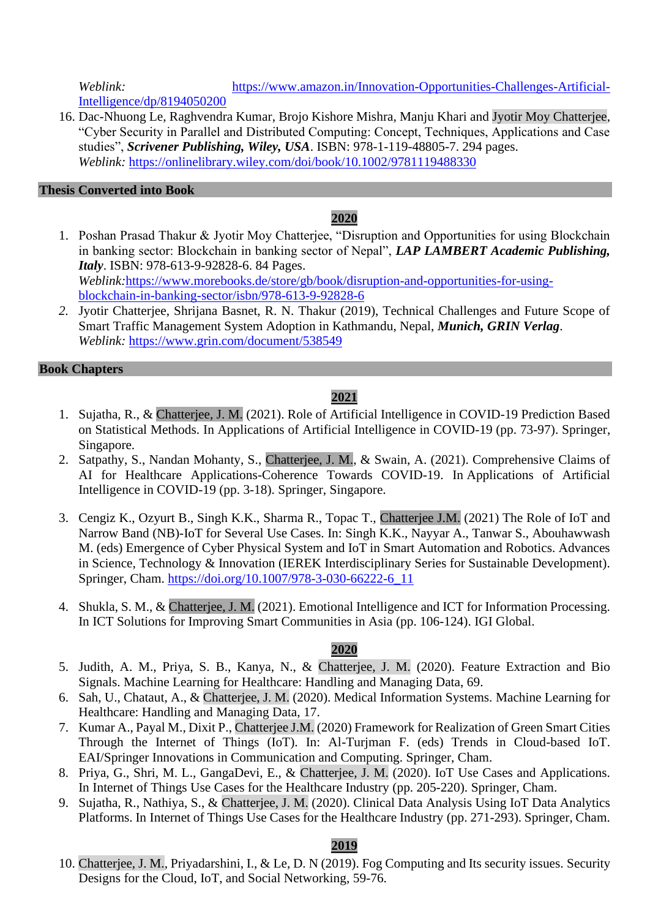*Weblink:* [https://www.amazon.in/Innovation-Opportunities-Challenges-Artificial-](https://www.amazon.in/Innovation-Opportunities-Challenges-Artificial-Intelligence/dp/8194050200)[Intelligence/dp/8194050200](https://www.amazon.in/Innovation-Opportunities-Challenges-Artificial-Intelligence/dp/8194050200)

16. Dac-Nhuong Le, Raghvendra Kumar, Brojo Kishore Mishra, Manju Khari and Jyotir Moy Chatterjee, "Cyber Security in Parallel and Distributed Computing: Concept, Techniques, Applications and Case studies", *Scrivener Publishing, Wiley, USA*. ISBN: 978-1-119-48805-7. 294 pages. *Weblink:* <https://onlinelibrary.wiley.com/doi/book/10.1002/9781119488330>

## **Thesis Converted into Book**

## **2020**

- 1. Poshan Prasad Thakur & Jyotir Moy Chatterjee, "Disruption and Opportunities for using Blockchain in banking sector: Blockchain in banking sector of Nepal", *LAP LAMBERT Academic Publishing, Italy*. ISBN: 978-613-9-92828-6. 84 Pages. *Weblink:*[https://www.morebooks.de/store/gb/book/disruption-and-opportunities-for-using](https://www.morebooks.de/store/gb/book/disruption-and-opportunities-for-using-blockchain-in-banking-sector/isbn/978-613-9-92828-6)[blockchain-in-banking-sector/isbn/978-613-9-92828-6](https://www.morebooks.de/store/gb/book/disruption-and-opportunities-for-using-blockchain-in-banking-sector/isbn/978-613-9-92828-6)
- *2.* Jyotir Chatterjee, Shrijana Basnet, R. N. Thakur (2019), Technical Challenges and Future Scope of Smart Traffic Management System Adoption in Kathmandu, Nepal, *Munich, GRIN Verlag*. *Weblink:* <https://www.grin.com/document/538549>

#### **Book Chapters**

# **2021**

- 1. Sujatha, R., & Chatterjee, J. M. (2021). Role of Artificial Intelligence in COVID-19 Prediction Based on Statistical Methods. In Applications of Artificial Intelligence in COVID-19 (pp. 73-97). Springer, Singapore.
- 2. Satpathy, S., Nandan Mohanty, S., Chatterjee, J. M., & Swain, A. (2021). Comprehensive Claims of AI for Healthcare Applications-Coherence Towards COVID-19. In Applications of Artificial Intelligence in COVID-19 (pp. 3-18). Springer, Singapore.
- 3. Cengiz K., Ozyurt B., Singh K.K., Sharma R., Topac T., Chatterjee J.M. (2021) The Role of IoT and Narrow Band (NB)-IoT for Several Use Cases. In: Singh K.K., Nayyar A., Tanwar S., Abouhawwash M. (eds) Emergence of Cyber Physical System and IoT in Smart Automation and Robotics. Advances in Science, Technology & Innovation (IEREK Interdisciplinary Series for Sustainable Development). Springer, Cham. [https://doi.org/10.1007/978-3-030-66222-6\\_11](https://doi.org/10.1007/978-3-030-66222-6_11)
- 4. Shukla, S. M., & Chatterjee, J. M. (2021). Emotional Intelligence and ICT for Information Processing. In ICT Solutions for Improving Smart Communities in Asia (pp. 106-124). IGI Global.

## **2020**

- 5. Judith, A. M., Priya, S. B., Kanya, N., & Chatterjee, J. M. (2020). Feature Extraction and Bio Signals. Machine Learning for Healthcare: Handling and Managing Data, 69.
- 6. Sah, U., Chataut, A., & Chatterjee, J. M. (2020). Medical Information Systems. Machine Learning for Healthcare: Handling and Managing Data, 17.
- 7. Kumar A., Payal M., Dixit P., Chatterjee J.M. (2020) Framework for Realization of Green Smart Cities Through the Internet of Things (IoT). In: Al-Turjman F. (eds) Trends in Cloud-based IoT. EAI/Springer Innovations in Communication and Computing. Springer, Cham.
- 8. Priya, G., Shri, M. L., GangaDevi, E., & Chatterjee, J. M. (2020). IoT Use Cases and Applications. In Internet of Things Use Cases for the Healthcare Industry (pp. 205-220). Springer, Cham.
- 9. Sujatha, R., Nathiya, S., & Chatterjee, J. M. (2020). Clinical Data Analysis Using IoT Data Analytics Platforms. In Internet of Things Use Cases for the Healthcare Industry (pp. 271-293). Springer, Cham.

# **2019**

10. Chatterjee, J. M., Priyadarshini, I., & Le, D. N (2019). Fog Computing and Its security issues. Security Designs for the Cloud, IoT, and Social Networking, 59-76.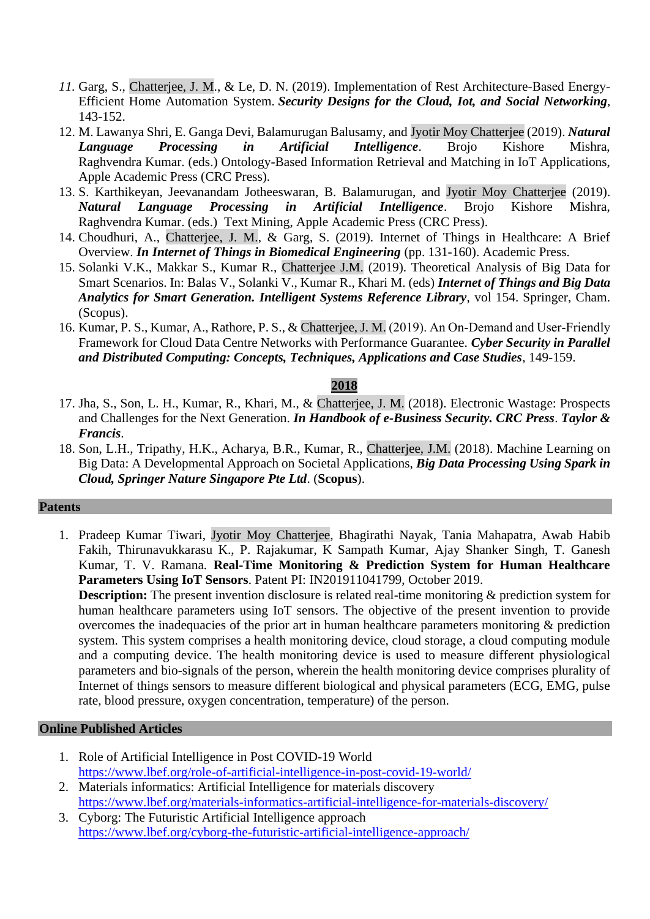- 11. Garg, S., Chatterjee, J. M., & Le, D. N. (2019). Implementation of Rest Architecture-Based Energy-Efficient Home Automation System. *Security Designs for the Cloud, Iot, and Social Networking*, 143-152.
- 12. M. Lawanya Shri, E. Ganga Devi, Balamurugan Balusamy, and Jyotir Moy Chatterjee (2019). *Natural Language Processing in Artificial Intelligence*. Brojo Kishore Mishra, Raghvendra Kumar. (eds.) Ontology-Based Information Retrieval and Matching in IoT Applications, Apple Academic Press (CRC Press).
- 13. S. Karthikeyan, Jeevanandam Jotheeswaran, B. Balamurugan, and Jyotir Moy Chatterjee (2019). *Natural Language Processing in Artificial Intelligence*. Brojo Kishore Mishra, Raghvendra Kumar. (eds.) Text Mining, Apple Academic Press (CRC Press).
- 14. Choudhuri, A., Chatterjee, J. M., & Garg, S. (2019). Internet of Things in Healthcare: A Brief Overview. *In Internet of Things in Biomedical Engineering* (pp. 131-160). Academic Press.
- 15. Solanki V.K., Makkar S., Kumar R., Chatterjee J.M. (2019). Theoretical Analysis of Big Data for Smart Scenarios. In: Balas V., Solanki V., Kumar R., Khari M. (eds) *Internet of Things and Big Data Analytics for Smart Generation. Intelligent Systems Reference Library*, vol 154. Springer, Cham. (Scopus).
- 16. Kumar, P. S., Kumar, A., Rathore, P. S., & Chatterjee, J. M. (2019). An On‐Demand and User‐Friendly Framework for Cloud Data Centre Networks with Performance Guarantee. *Cyber Security in Parallel and Distributed Computing: Concepts, Techniques, Applications and Case Studies*, 149-159.

#### **2018**

- 17. Jha, S., Son, L. H., Kumar, R., Khari, M., & Chatterjee, J. M. (2018). Electronic Wastage: Prospects and Challenges for the Next Generation. *In Handbook of e-Business Security. CRC Press*. *Taylor & Francis*.
- 18. Son, L.H., Tripathy, H.K., Acharya, B.R., Kumar, R., Chatterjee, J.M. (2018). Machine Learning on Big Data: A Developmental Approach on Societal Applications, *Big Data Processing Using Spark in Cloud, Springer Nature Singapore Pte Ltd*. (**Scopus**).

#### **Patents**

1. Pradeep Kumar Tiwari, Jyotir Moy Chatterjee, Bhagirathi Nayak, Tania Mahapatra, Awab Habib Fakih, Thirunavukkarasu K., P. Rajakumar, K Sampath Kumar, Ajay Shanker Singh, T. Ganesh Kumar, T. V. Ramana. **Real-Time Monitoring & Prediction System for Human Healthcare Parameters Using IoT Sensors**. Patent PI: IN201911041799, October 2019.

**Description:** The present invention disclosure is related real-time monitoring & prediction system for human healthcare parameters using IoT sensors. The objective of the present invention to provide overcomes the inadequacies of the prior art in human healthcare parameters monitoring & prediction system. This system comprises a health monitoring device, cloud storage, a cloud computing module and a computing device. The health monitoring device is used to measure different physiological parameters and bio-signals of the person, wherein the health monitoring device comprises plurality of Internet of things sensors to measure different biological and physical parameters (ECG, EMG, pulse rate, blood pressure, oxygen concentration, temperature) of the person.

#### **Online Published Articles**

- 1. Role of Artificial Intelligence in Post COVID-19 World <https://www.lbef.org/role-of-artificial-intelligence-in-post-covid-19-world/>
- 2. Materials informatics: Artificial Intelligence for materials discovery <https://www.lbef.org/materials-informatics-artificial-intelligence-for-materials-discovery/>
- 3. Cyborg: The Futuristic Artificial Intelligence approach <https://www.lbef.org/cyborg-the-futuristic-artificial-intelligence-approach/>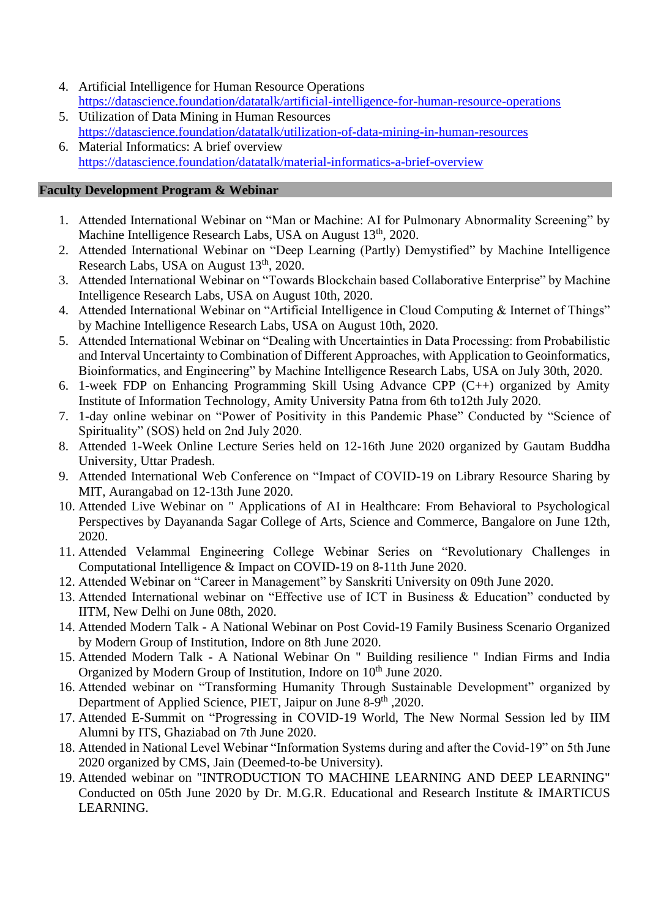- 4. Artificial Intelligence for Human Resource Operations <https://datascience.foundation/datatalk/artificial-intelligence-for-human-resource-operations>
- 5. Utilization of Data Mining in Human Resources <https://datascience.foundation/datatalk/utilization-of-data-mining-in-human-resources>
- 6. Material Informatics: A brief overview <https://datascience.foundation/datatalk/material-informatics-a-brief-overview>

## **Faculty Development Program & Webinar**

- 1. Attended International Webinar on "Man or Machine: AI for Pulmonary Abnormality Screening" by Machine Intelligence Research Labs, USA on August 13<sup>th</sup>, 2020.
- 2. Attended International Webinar on "Deep Learning (Partly) Demystified" by Machine Intelligence Research Labs, USA on August 13<sup>th</sup>, 2020.
- 3. Attended International Webinar on "Towards Blockchain based Collaborative Enterprise" by Machine Intelligence Research Labs, USA on August 10th, 2020.
- 4. Attended International Webinar on "Artificial Intelligence in Cloud Computing & Internet of Things" by Machine Intelligence Research Labs, USA on August 10th, 2020.
- 5. Attended International Webinar on "Dealing with Uncertainties in Data Processing: from Probabilistic and Interval Uncertainty to Combination of Different Approaches, with Application to Geoinformatics, Bioinformatics, and Engineering" by Machine Intelligence Research Labs, USA on July 30th, 2020.
- 6. 1-week FDP on Enhancing Programming Skill Using Advance CPP (C++) organized by Amity Institute of Information Technology, Amity University Patna from 6th to12th July 2020.
- 7. 1-day online webinar on "Power of Positivity in this Pandemic Phase" Conducted by "Science of Spirituality" (SOS) held on 2nd July 2020.
- 8. Attended 1-Week Online Lecture Series held on 12-16th June 2020 organized by Gautam Buddha University, Uttar Pradesh.
- 9. Attended International Web Conference on "Impact of COVID-19 on Library Resource Sharing by MIT, Aurangabad on 12-13th June 2020.
- 10. Attended Live Webinar on " Applications of AI in Healthcare: From Behavioral to Psychological Perspectives by Dayananda Sagar College of Arts, Science and Commerce, Bangalore on June 12th, 2020.
- 11. Attended Velammal Engineering College Webinar Series on "Revolutionary Challenges in Computational Intelligence & Impact on COVID-19 on 8-11th June 2020.
- 12. Attended Webinar on "Career in Management" by Sanskriti University on 09th June 2020.
- 13. Attended International webinar on "Effective use of ICT in Business & Education" conducted by IITM, New Delhi on June 08th, 2020.
- 14. Attended Modern Talk A National Webinar on Post Covid-19 Family Business Scenario Organized by Modern Group of Institution, Indore on 8th June 2020.
- 15. Attended Modern Talk A National Webinar On " Building resilience " Indian Firms and India Organized by Modern Group of Institution, Indore on 10<sup>th</sup> June 2020.
- 16. Attended webinar on "Transforming Humanity Through Sustainable Development" organized by Department of Applied Science, PIET, Jaipur on June 8-9<sup>th</sup>, 2020.
- 17. Attended E-Summit on "Progressing in COVID-19 World, The New Normal Session led by IIM Alumni by ITS, Ghaziabad on 7th June 2020.
- 18. Attended in National Level Webinar "Information Systems during and after the Covid-19" on 5th June 2020 organized by CMS, Jain (Deemed-to-be University).
- 19. Attended webinar on "INTRODUCTION TO MACHINE LEARNING AND DEEP LEARNING" Conducted on 05th June 2020 by Dr. M.G.R. Educational and Research Institute & IMARTICUS LEARNING.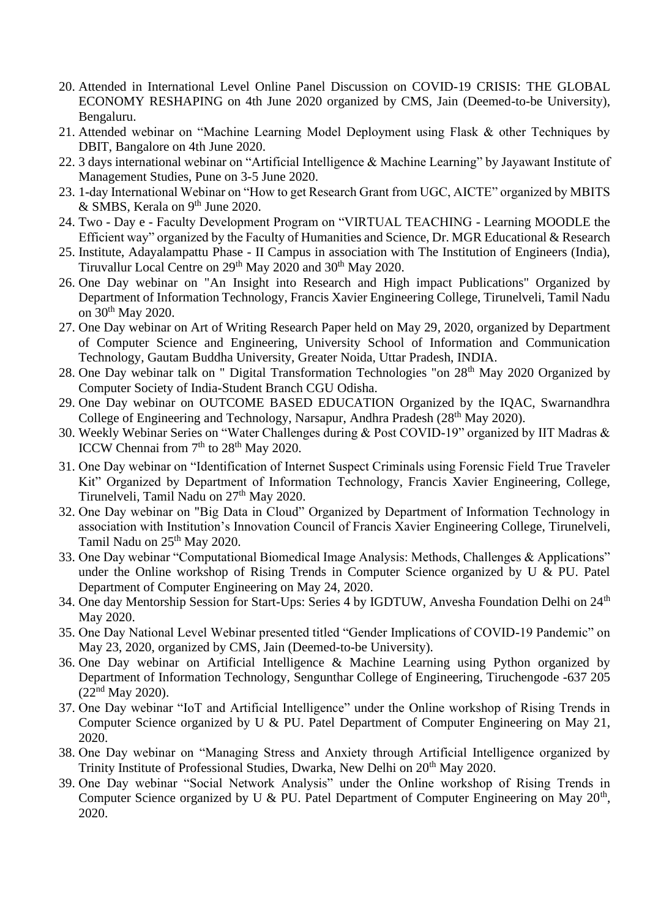- 20. Attended in International Level Online Panel Discussion on COVID-19 CRISIS: THE GLOBAL ECONOMY RESHAPING on 4th June 2020 organized by CMS, Jain (Deemed-to-be University), Bengaluru.
- 21. Attended webinar on "Machine Learning Model Deployment using Flask & other Techniques by DBIT, Bangalore on 4th June 2020.
- 22. 3 days international webinar on "Artificial Intelligence & Machine Learning" by Jayawant Institute of Management Studies, Pune on 3-5 June 2020.
- 23. 1-day International Webinar on "How to get Research Grant from UGC, AICTE" organized by MBITS  $&$  SMBS, Kerala on 9<sup>th</sup> June 2020.
- 24. Two Day e Faculty Development Program on "VIRTUAL TEACHING Learning MOODLE the Efficient way" organized by the Faculty of Humanities and Science, Dr. MGR Educational & Research
- 25. Institute, Adayalampattu Phase II Campus in association with The Institution of Engineers (India), Tiruvallur Local Centre on 29<sup>th</sup> May 2020 and 30<sup>th</sup> May 2020.
- 26. One Day webinar on "An Insight into Research and High impact Publications" Organized by Department of Information Technology, Francis Xavier Engineering College, Tirunelveli, Tamil Nadu on 30th May 2020.
- 27. One Day webinar on Art of Writing Research Paper held on May 29, 2020, organized by Department of Computer Science and Engineering, University School of Information and Communication Technology, Gautam Buddha University, Greater Noida, Uttar Pradesh, INDIA.
- 28. One Day webinar talk on " Digital Transformation Technologies "on 28<sup>th</sup> May 2020 Organized by Computer Society of India-Student Branch CGU Odisha.
- 29. One Day webinar on OUTCOME BASED EDUCATION Organized by the IQAC, Swarnandhra College of Engineering and Technology, Narsapur, Andhra Pradesh (28<sup>th</sup> May 2020).
- 30. Weekly Webinar Series on "Water Challenges during & Post COVID-19" organized by IIT Madras & ICCW Chennai from 7<sup>th</sup> to 28<sup>th</sup> May 2020.
- 31. One Day webinar on "Identification of Internet Suspect Criminals using Forensic Field True Traveler Kit" Organized by Department of Information Technology, Francis Xavier Engineering, College, Tirunelveli, Tamil Nadu on 27<sup>th</sup> May 2020.
- 32. One Day webinar on "Big Data in Cloud" Organized by Department of Information Technology in association with Institution's Innovation Council of Francis Xavier Engineering College, Tirunelveli, Tamil Nadu on  $25<sup>th</sup>$  May 2020.
- 33. One Day webinar "Computational Biomedical Image Analysis: Methods, Challenges & Applications" under the Online workshop of Rising Trends in Computer Science organized by U & PU. Patel Department of Computer Engineering on May 24, 2020.
- 34. One day Mentorship Session for Start-Ups: Series 4 by IGDTUW, Anvesha Foundation Delhi on 24<sup>th</sup> May 2020.
- 35. One Day National Level Webinar presented titled "Gender Implications of COVID-19 Pandemic" on May 23, 2020, organized by CMS, Jain (Deemed-to-be University).
- 36. One Day webinar on Artificial Intelligence & Machine Learning using Python organized by Department of Information Technology, Sengunthar College of Engineering, Tiruchengode -637 205  $(22<sup>nd</sup>$  May 2020).
- 37. One Day webinar "IoT and Artificial Intelligence" under the Online workshop of Rising Trends in Computer Science organized by U & PU. Patel Department of Computer Engineering on May 21, 2020.
- 38. One Day webinar on "Managing Stress and Anxiety through Artificial Intelligence organized by Trinity Institute of Professional Studies, Dwarka, New Delhi on 20<sup>th</sup> May 2020.
- 39. One Day webinar "Social Network Analysis" under the Online workshop of Rising Trends in Computer Science organized by U & PU. Patel Department of Computer Engineering on May  $20<sup>th</sup>$ , 2020.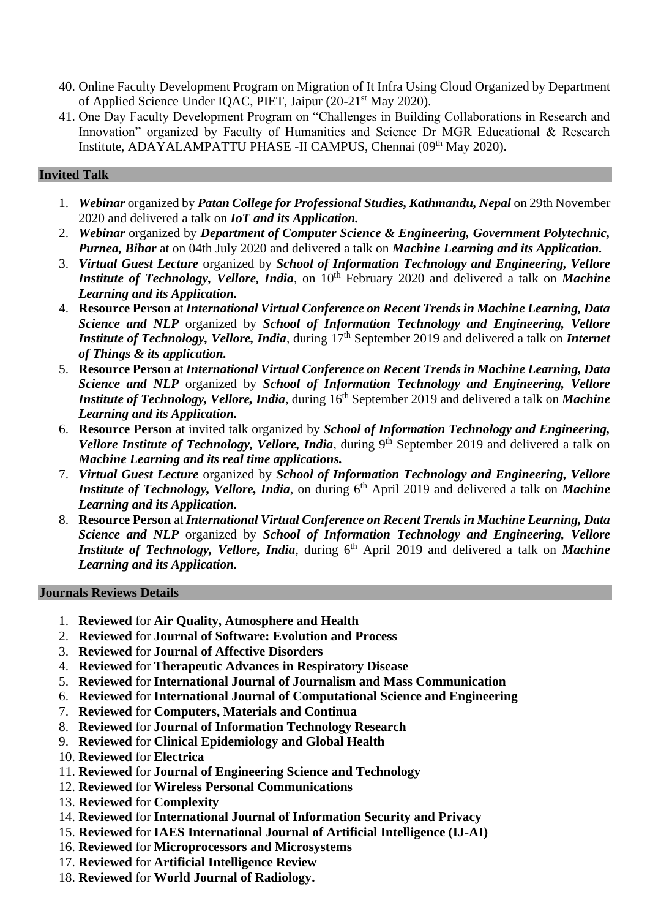- 40. Online Faculty Development Program on Migration of It Infra Using Cloud Organized by Department of Applied Science Under IQAC, PIET, Jaipur (20-21st May 2020).
- 41. One Day Faculty Development Program on "Challenges in Building Collaborations in Research and Innovation" organized by Faculty of Humanities and Science Dr MGR Educational & Research Institute, ADAYALAMPATTU PHASE -II CAMPUS, Chennai (09<sup>th</sup> May 2020).

## **Invited Talk**

- 1. *Webinar* organized by *Patan College for Professional Studies, Kathmandu, Nepal* on 29th November 2020 and delivered a talk on *IoT and its Application.*
- 2. *Webinar* organized by *Department of Computer Science & Engineering, Government Polytechnic, Purnea, Bihar* at on 04th July 2020 and delivered a talk on *Machine Learning and its Application.*
- 3. *Virtual Guest Lecture* organized by *School of Information Technology and Engineering, Vellore Institute of Technology, Vellore, India, on*  $10^{th}$  February 2020 and delivered a talk on *Machine Learning and its Application.*
- 4. **Resource Person** at *International Virtual Conference on Recent Trends in Machine Learning, Data Science and NLP* organized by *School of Information Technology and Engineering, Vellore Institute of Technology, Vellore, India, during* 17<sup>th</sup> September 2019 and delivered a talk on *Internet of Things & its application.*
- 5. **Resource Person** at *International Virtual Conference on Recent Trends in Machine Learning, Data Science and NLP* organized by *School of Information Technology and Engineering, Vellore Institute of Technology, Vellore, India, during* 16<sup>th</sup> September 2019 and delivered a talk on *Machine Learning and its Application.*
- 6. **Resource Person** at invited talk organized by *School of Information Technology and Engineering, Vellore Institute of Technology, Vellore, India, during* 9<sup>th</sup> September 2019 and delivered a talk on *Machine Learning and its real time applications.*
- 7. *Virtual Guest Lecture* organized by *School of Information Technology and Engineering, Vellore Institute of Technology, Vellore, India, on during 6<sup>th</sup> April 2019 and delivered a talk on Machine Learning and its Application.*
- 8. **Resource Person** at *International Virtual Conference on Recent Trends in Machine Learning, Data Science and NLP* organized by *School of Information Technology and Engineering, Vellore Institute of Technology, Vellore, India, during 6<sup>th</sup> April 2019 and delivered a talk on Machine Learning and its Application.*

#### **Journals Reviews Details**

- 1. **Reviewed** for **Air Quality, Atmosphere and Health**
- 2. **Reviewed** for **Journal of Software: Evolution and Process**
- 3. **Reviewed** for **Journal of Affective Disorders**
- 4. **Reviewed** for **Therapeutic Advances in Respiratory Disease**
- 5. **Reviewed** for **International Journal of Journalism and Mass Communication**
- 6. **Reviewed** for **International Journal of Computational Science and Engineering**
- 7. **Reviewed** for **Computers, Materials and Continua**
- 8. **Reviewed** for **Journal of Information Technology Research**
- 9. **Reviewed** for **Clinical Epidemiology and Global Health**
- 10. **Reviewed** for **Electrica**
- 11. **Reviewed** for **Journal of Engineering Science and Technology**
- 12. **Reviewed** for **Wireless Personal Communications**
- 13. **Reviewed** for **Complexity**
- 14. **Reviewed** for **International Journal of Information Security and Privacy**
- 15. **Reviewed** for **IAES International Journal of Artificial Intelligence (IJ-AI)**
- 16. **Reviewed** for **Microprocessors and Microsystems**
- 17. **Reviewed** for **Artificial Intelligence Review**
- 18. **Reviewed** for **World Journal of Radiology.**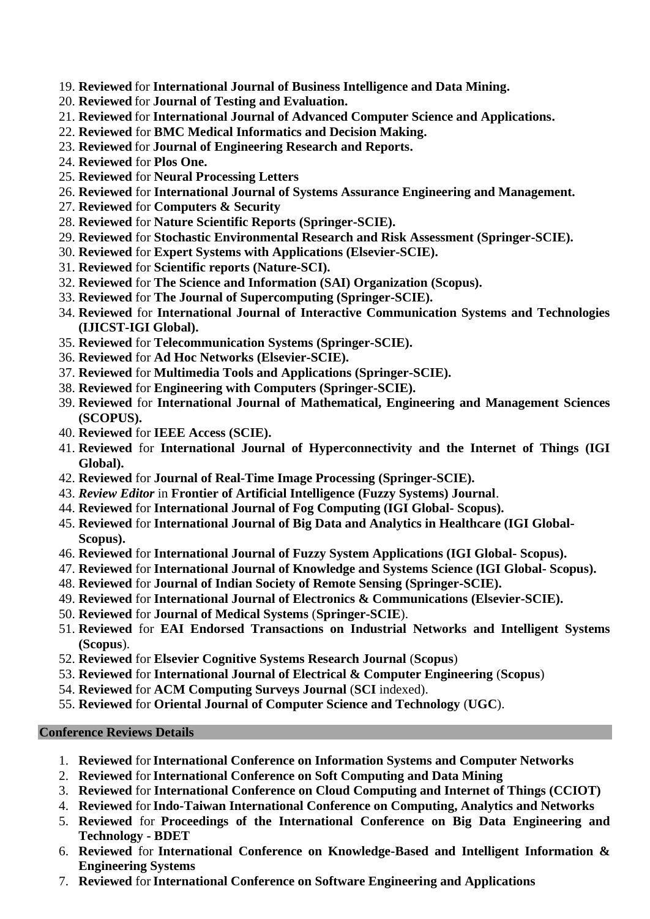- 19. **Reviewed** for **International Journal of Business Intelligence and Data Mining.**
- 20. **Reviewed** for **Journal of Testing and Evaluation.**
- 21. **Reviewed** for **International Journal of Advanced Computer Science and Applications.**
- 22. **Reviewed** for **BMC Medical Informatics and Decision Making.**
- 23. **Reviewed** for **Journal of Engineering Research and Reports.**
- 24. **Reviewed** for **Plos One.**
- 25. **Reviewed** for **Neural Processing Letters**
- 26. **Reviewed** for **International Journal of Systems Assurance Engineering and Management.**
- 27. **Reviewed** for **Computers & Security**
- 28. **Reviewed** for **Nature Scientific Reports (Springer-SCIE).**
- 29. **Reviewed** for **Stochastic Environmental Research and Risk Assessment (Springer-SCIE).**
- 30. **Reviewed** for **Expert Systems with Applications (Elsevier-SCIE).**
- 31. **Reviewed** for **Scientific reports (Nature-SCI).**
- 32. **Reviewed** for **The Science and Information (SAI) Organization (Scopus).**
- 33. **Reviewed** for **The Journal of Supercomputing (Springer-SCIE).**
- 34. **Reviewed** for **International Journal of Interactive Communication Systems and Technologies (IJICST-IGI Global).**
- 35. **Reviewed** for **Telecommunication Systems (Springer-SCIE).**
- 36. **Reviewed** for **Ad Hoc Networks (Elsevier-SCIE).**
- 37. **Reviewed** for **Multimedia Tools and Applications (Springer-SCIE).**
- 38. **Reviewed** for **Engineering with Computers (Springer-SCIE).**
- 39. **Reviewed** for **International Journal of Mathematical, Engineering and Management Sciences (SCOPUS).**
- 40. **Reviewed** for **IEEE Access (SCIE).**
- 41. **Reviewed** for **International Journal of Hyperconnectivity and the Internet of Things (IGI Global).**
- 42. **Reviewed** for **Journal of Real-Time Image Processing (Springer-SCIE).**
- 43. *Review Editor* in **Frontier of Artificial Intelligence (Fuzzy Systems) Journal**.
- 44. **Reviewed** for **International Journal of Fog Computing (IGI Global- Scopus).**
- 45. **Reviewed** for **International Journal of Big Data and Analytics in Healthcare (IGI Global-Scopus).**
- 46. **Reviewed** for **International Journal of Fuzzy System Applications (IGI Global- Scopus).**
- 47. **Reviewed** for **International Journal of Knowledge and Systems Science (IGI Global- Scopus).**
- 48. **Reviewed** for **Journal of Indian Society of Remote Sensing (Springer-SCIE).**
- 49. **Reviewed** for **International Journal of Electronics & Communications (Elsevier-SCIE).**
- 50. **Reviewed** for **Journal of Medical Systems** (**Springer-SCIE**).
- 51. **Reviewed** for **EAI Endorsed Transactions on Industrial Networks and Intelligent Systems (Scopus**).
- 52. **Reviewed** for **Elsevier Cognitive Systems Research Journal** (**Scopus**)
- 53. **Reviewed** for **International Journal of Electrical & Computer Engineering** (**Scopus**)
- 54. **Reviewed** for **ACM Computing Surveys Journal** (**SCI** indexed).
- 55. **Reviewed** for **Oriental Journal of Computer Science and Technology** (**UGC**).

## **Conference Reviews Details**

- 1. **Reviewed** for**International Conference on Information Systems and Computer Networks**
- 2. **Reviewed** for**International Conference on Soft Computing and Data Mining**
- 3. **Reviewed** for **International Conference on Cloud Computing and Internet of Things (CCIOT)**
- 4. **Reviewed** for**Indo-Taiwan International Conference on Computing, Analytics and Networks**
- 5. **Reviewed** for **Proceedings of the International Conference on Big Data Engineering and Technology - BDET**
- 6. **Reviewed** for **International Conference on Knowledge-Based and Intelligent Information & Engineering Systems**
- 7. **Reviewed** for**International Conference on Software Engineering and Applications**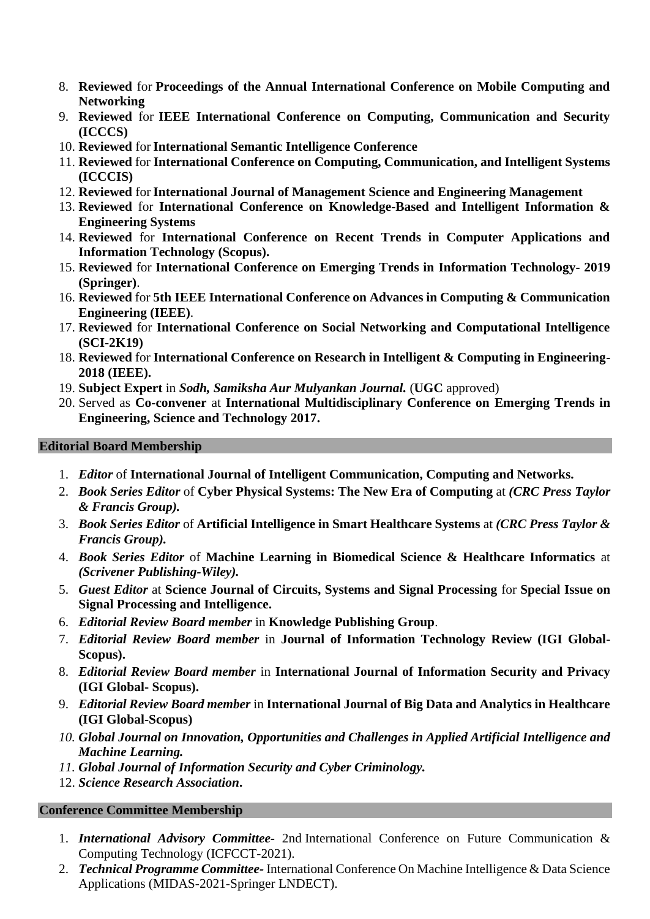- 8. **Reviewed** for **Proceedings of the Annual International Conference on Mobile Computing and Networking**
- 9. **Reviewed** for **IEEE International Conference on Computing, Communication and Security (ICCCS)**
- 10. **Reviewed** for**International Semantic Intelligence Conference**
- 11. **Reviewed** for **International Conference on Computing, Communication, and Intelligent Systems (ICCCIS)**
- 12. **Reviewed** for**International Journal of Management Science and Engineering Management**
- 13. **Reviewed** for **International Conference on Knowledge-Based and Intelligent Information & Engineering Systems**
- 14. **Reviewed** for **International Conference on Recent Trends in Computer Applications and Information Technology (Scopus).**
- 15. **Reviewed** for **International Conference on Emerging Trends in Information Technology- 2019 (Springer)**.
- 16. **Reviewed** for **5th IEEE International Conference on Advances in Computing & Communication Engineering (IEEE)**.
- 17. **Reviewed** for **International Conference on Social Networking and Computational Intelligence (SCI-2K19)**
- 18. **Reviewed** for **International Conference on Research in Intelligent & Computing in Engineering-2018 (IEEE).**
- 19. **Subject Expert** in *Sodh, Samiksha Aur Mulyankan Journal.* (**UGC** approved)
- 20. Served as **Co-convener** at **International Multidisciplinary Conference on Emerging Trends in Engineering, Science and Technology 2017.**

## **Editorial Board Membership**

- 1. *Editor* of **International Journal of Intelligent Communication, Computing and Networks.**
- 2. *Book Series Editor* of **Cyber Physical Systems: The New Era of Computing** at *(CRC Press Taylor & Francis Group).*
- 3. *Book Series Editor* of **Artificial Intelligence in Smart Healthcare Systems** at *(CRC Press Taylor & Francis Group).*
- 4. *Book Series Editor* of **Machine Learning in Biomedical Science & Healthcare Informatics** at *(Scrivener Publishing-Wiley).*
- 5. *Guest Editor* at **Science Journal of Circuits, Systems and Signal Processing** for **Special Issue on Signal Processing and Intelligence.**
- 6. *Editorial Review Board member* in **Knowledge Publishing Group**.
- 7. *Editorial Review Board member* in **Journal of Information Technology Review (IGI Global-Scopus).**
- 8. *Editorial Review Board member* in **International Journal of Information Security and Privacy (IGI Global- Scopus).**
- 9. *Editorial Review Board member* in **International Journal of Big Data and Analytics in Healthcare (IGI Global-Scopus)**
- *10. Global Journal on Innovation, Opportunities and Challenges in Applied Artificial Intelligence and Machine Learning.*
- *11. Global Journal of Information Security and Cyber Criminology.*
- 12. *Science Research Association***.**

## **Conference Committee Membership**

- 1. *International Advisory Committee-* 2nd International Conference on Future Communication & Computing Technology (ICFCCT-2021).
- 2. *Technical Programme Committee-* International Conference On Machine Intelligence & Data Science Applications (MIDAS-2021-Springer LNDECT).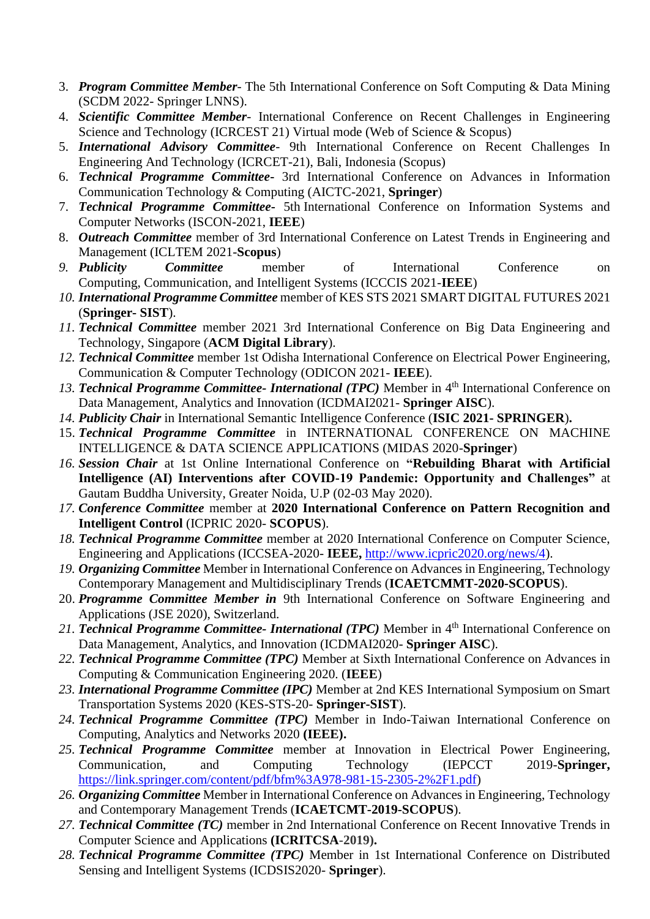- 3. *Program Committee Member* The 5th International Conference on Soft Computing & Data Mining (SCDM 2022- Springer LNNS).
- 4. *Scientific Committee Member* International Conference on Recent Challenges in Engineering Science and Technology (ICRCEST 21) Virtual mode (Web of Science & Scopus)
- 5. *International Advisory Committee* 9th International Conference on Recent Challenges In Engineering And Technology (ICRCET-21), Bali, Indonesia (Scopus)
- 6. *Technical Programme Committee***-** 3rd International Conference on Advances in Information Communication Technology & Computing (AICTC-2021, **Springer**)
- 7. *Technical Programme Committee***-** 5th International Conference on Information Systems and Computer Networks (ISCON-2021, **IEEE**)
- 8. *Outreach Committee* member of 3rd International Conference on Latest Trends in Engineering and Management (ICLTEM 2021-**Scopus**)
- *9. Publicity Committee* member of International Conference on Computing, Communication, and Intelligent Systems (ICCCIS 2021-**IEEE**)
- *10. International Programme Committee* member of KES STS 2021 SMART DIGITAL FUTURES 2021 (**Springer- SIST**).
- *11. Technical Committee* member 2021 3rd International Conference on Big Data Engineering and Technology, Singapore (**ACM Digital Library**).
- *12. Technical Committee* member 1st Odisha International Conference on Electrical Power Engineering, Communication & Computer Technology (ODICON 2021- **IEEE**).
- 13. **Technical Programme Committee- International (TPC)** Member in 4<sup>th</sup> International Conference on Data Management, Analytics and Innovation (ICDMAI2021- **Springer AISC**).
- *14. Publicity Chair* in International Semantic Intelligence Conference (**ISIC 2021- SPRINGER**)**.**
- 15. *Technical Programme Committee* in INTERNATIONAL CONFERENCE ON MACHINE INTELLIGENCE & DATA SCIENCE APPLICATIONS (MIDAS 2020-**Springer**)
- *16. Session Chair* at 1st Online International Conference on **"Rebuilding Bharat with Artificial Intelligence (AI) Interventions after COVID-19 Pandemic: Opportunity and Challenges"** at Gautam Buddha University, Greater Noida, U.P (02-03 May 2020).
- *17. Conference Committee* member at **2020 International Conference on Pattern Recognition and Intelligent Control** (ICPRIC 2020- **SCOPUS**).
- *18. Technical Programme Committee* member at 2020 International Conference on Computer Science, Engineering and Applications (ICCSEA-2020- **IEEE,** [http://www.icpric2020.org/news/4\)](http://www.icpric2020.org/news/4).
- *19. Organizing Committee* Member in International Conference on Advances in Engineering, Technology Contemporary Management and Multidisciplinary Trends (**ICAETCMMT-2020-SCOPUS**).
- 20. *Programme Committee Member in* 9th International Conference on Software Engineering and Applications (JSE 2020), Switzerland.
- 21. *Technical Programme Committee-International (TPC)* Member in 4<sup>th</sup> International Conference on Data Management, Analytics, and Innovation (ICDMAI2020- **Springer AISC**).
- *22. Technical Programme Committee (TPC)* Member at Sixth International Conference on Advances in Computing & Communication Engineering 2020. (**IEEE**)
- *23. International Programme Committee (IPC)* Member at 2nd KES International Symposium on Smart Transportation Systems 2020 (KES-STS-20- **Springer-SIST**).
- *24. Technical Programme Committee (TPC)* Member in Indo-Taiwan International Conference on Computing, Analytics and Networks 2020 **(IEEE).**
- *25. Technical Programme Committee* member at Innovation in Electrical Power Engineering, Communication, and Computing Technology (IEPCCT 2019-**Springer,**  [https://link.springer.com/content/pdf/bfm%3A978-981-15-2305-2%2F1.pdf\)](https://link.springer.com/content/pdf/bfm%3A978-981-15-2305-2%2F1.pdf)
- *26. Organizing Committee* Member in International Conference on Advances in Engineering, Technology and Contemporary Management Trends (**ICAETCMT-2019-SCOPUS**).
- *27. Technical Committee (TC)* member in 2nd International Conference on Recent Innovative Trends in Computer Science and Applications **(ICRITCSA-2019).**
- *28. Technical Programme Committee (TPC)* Member in 1st International Conference on Distributed Sensing and Intelligent Systems (ICDSIS2020- **Springer**).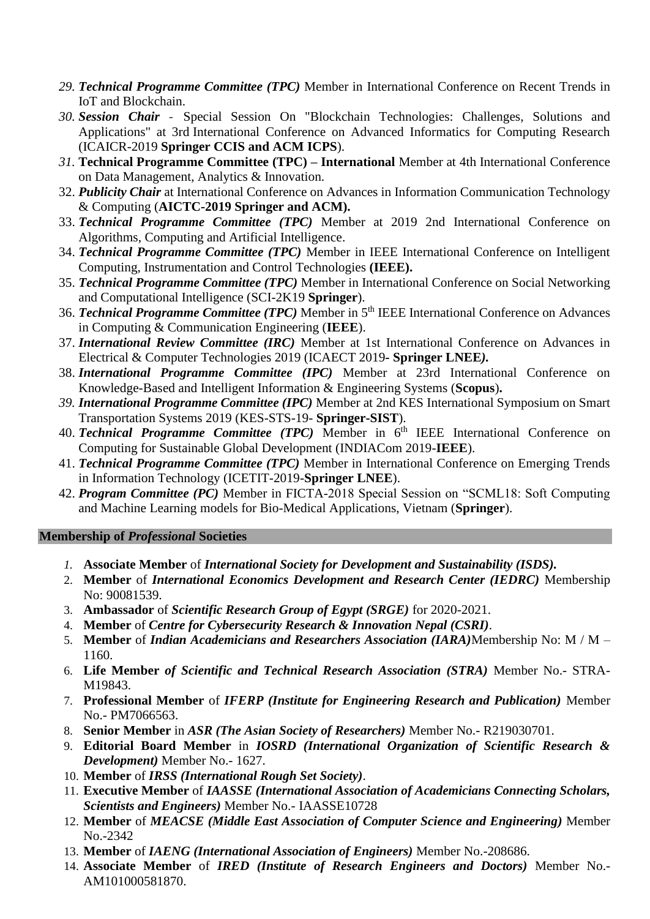- *29. Technical Programme Committee (TPC)* Member in International Conference on Recent Trends in IoT and Blockchain.
- *30. Session Chair* Special Session On "Blockchain Technologies: Challenges, Solutions and Applications" at 3rd International Conference on Advanced Informatics for Computing Research (ICAICR-2019 **Springer CCIS and ACM ICPS**).
- *31.* **Technical Programme Committee (TPC) – International** Member at 4th International Conference on Data Management, Analytics & Innovation.
- 32. *Publicity Chair* at International Conference on Advances in Information Communication Technology & Computing (**AICTC-2019 Springer and ACM).**
- 33. *Technical Programme Committee (TPC)* Member at 2019 2nd International Conference on Algorithms, Computing and Artificial Intelligence.
- 34. *Technical Programme Committee (TPC)* Member in IEEE International Conference on Intelligent Computing, Instrumentation and Control Technologies **(IEEE).**
- 35. *Technical Programme Committee (TPC)* Member in International Conference on Social Networking and Computational Intelligence (SCI-2K19 **Springer**).
- 36. *Technical Programme Committee (TPC)* Member in 5th IEEE International Conference on Advances in Computing & Communication Engineering (**IEEE**).
- 37. *International Review Committee (IRC)* Member at 1st International Conference on Advances in Electrical & Computer Technologies 2019 (ICAECT 2019*-* **Springer LNEE***).*
- 38. *International Programme Committee (IPC)* Member at 23rd International Conference on Knowledge-Based and Intelligent Information & Engineering Systems (**Scopus**)**.**
- *39. International Programme Committee (IPC)* Member at 2nd KES International Symposium on Smart Transportation Systems 2019 (KES-STS-19- **Springer-SIST**).
- 40. *Technical Programme Committee (TPC)* Member in 6<sup>th</sup> IEEE International Conference on Computing for Sustainable Global Development (INDIACom 2019-**IEEE**).
- 41. *Technical Programme Committee (TPC)* Member in International Conference on Emerging Trends in Information Technology (ICETIT-2019-**Springer LNEE**).
- 42. *Program Committee (PC)* Member in FICTA-2018 Special Session on "SCML18: Soft Computing and Machine Learning models for Bio-Medical Applications, Vietnam (**Springer**).

## **Membership of** *Professional* **Societies**

- *1.* **Associate Member** of *International Society for Development and Sustainability (ISDS).*
- 2. **Member** of *International Economics Development and Research Center (IEDRC)* Membership No: 90081539.
- 3. **Ambassador** of *Scientific Research Group of Egypt (SRGE)* for 2020-2021.
- 4. **Member** of *Centre for Cybersecurity Research & Innovation Nepal (CSRI)*.
- 5. **Member** of *Indian Academicians and Researchers Association (IARA)*Membership No: M / M 1160.
- 6. **Life Member** *of Scientific and Technical Research Association (STRA)* Member No.- STRA-M19843.
- 7. **Professional Member** of *IFERP (Institute for Engineering Research and Publication)* Member No.- PM7066563.
- 8. **Senior Member** in *ASR (The Asian Society of Researchers)* Member No.- R219030701.
- 9. **Editorial Board Member** in *IOSRD (International Organization of Scientific Research & Development)* Member No.- 1627.
- 10. **Member** of *IRSS (International Rough Set Society)*.
- 11. **Executive Member** of *IAASSE (International Association of Academicians Connecting Scholars, Scientists and Engineers)* Member No.- IAASSE10728
- 12. **Member** of *MEACSE (Middle East Association of Computer Science and Engineering)* Member No.-2342
- 13. **Member** of *IAENG (International Association of Engineers)* Member No.-208686.
- 14. **Associate Member** of *IRED (Institute of Research Engineers and Doctors)* Member No.- AM101000581870.